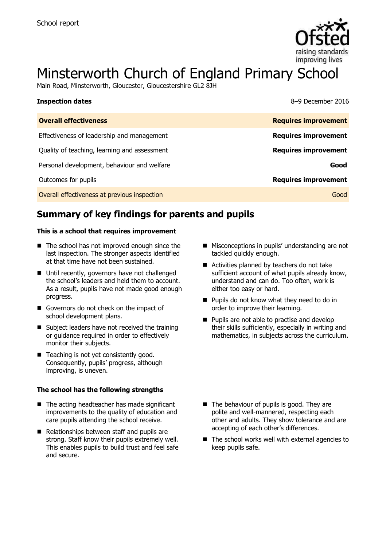

# Minsterworth Church of England Primary School

Main Road, Minsterworth, Gloucester, Gloucestershire GL2 8JH

| <b>Inspection dates</b>                      | 8-9 December 2016           |
|----------------------------------------------|-----------------------------|
| <b>Overall effectiveness</b>                 | <b>Requires improvement</b> |
| Effectiveness of leadership and management   | <b>Requires improvement</b> |
| Quality of teaching, learning and assessment | <b>Requires improvement</b> |
| Personal development, behaviour and welfare  | Good                        |
| Outcomes for pupils                          | <b>Requires improvement</b> |
| Overall effectiveness at previous inspection | Good                        |

# **Summary of key findings for parents and pupils**

#### **This is a school that requires improvement**

- The school has not improved enough since the last inspection. The stronger aspects identified at that time have not been sustained.
- Until recently, governors have not challenged the school's leaders and held them to account. As a result, pupils have not made good enough progress.
- Governors do not check on the impact of school development plans.
- Subject leaders have not received the training or guidance required in order to effectively monitor their subjects.
- Teaching is not yet consistently good. Consequently, pupils' progress, although improving, is uneven.

#### **The school has the following strengths**

- $\blacksquare$  The acting headteacher has made significant improvements to the quality of education and care pupils attending the school receive.
- Relationships between staff and pupils are strong. Staff know their pupils extremely well. This enables pupils to build trust and feel safe and secure.
- **Misconceptions in pupils' understanding are not** tackled quickly enough.
- Activities planned by teachers do not take sufficient account of what pupils already know, understand and can do. Too often, work is either too easy or hard.
- **Pupils do not know what they need to do in** order to improve their learning.
- **Pupils are not able to practise and develop** their skills sufficiently, especially in writing and mathematics, in subjects across the curriculum.

- $\blacksquare$  The behaviour of pupils is good. They are polite and well-mannered, respecting each other and adults. They show tolerance and are accepting of each other's differences.
- $\blacksquare$  The school works well with external agencies to keep pupils safe.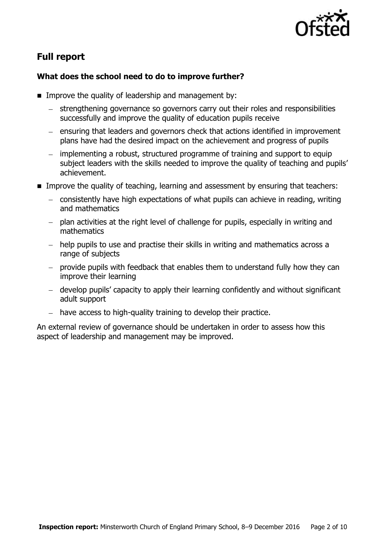

# **Full report**

### **What does the school need to do to improve further?**

- **IMPROVE the quality of leadership and management by:** 
	- strengthening governance so governors carry out their roles and responsibilities successfully and improve the quality of education pupils receive
	- ensuring that leaders and governors check that actions identified in improvement plans have had the desired impact on the achievement and progress of pupils
	- implementing a robust, structured programme of training and support to equip subject leaders with the skills needed to improve the quality of teaching and pupils' achievement.
- **IMPROVE the quality of teaching, learning and assessment by ensuring that teachers:** 
	- consistently have high expectations of what pupils can achieve in reading, writing and mathematics
	- plan activities at the right level of challenge for pupils, especially in writing and mathematics
	- help pupils to use and practise their skills in writing and mathematics across a range of subjects
	- provide pupils with feedback that enables them to understand fully how they can improve their learning
	- develop pupils' capacity to apply their learning confidently and without significant adult support
	- have access to high-quality training to develop their practice.

An external review of governance should be undertaken in order to assess how this aspect of leadership and management may be improved.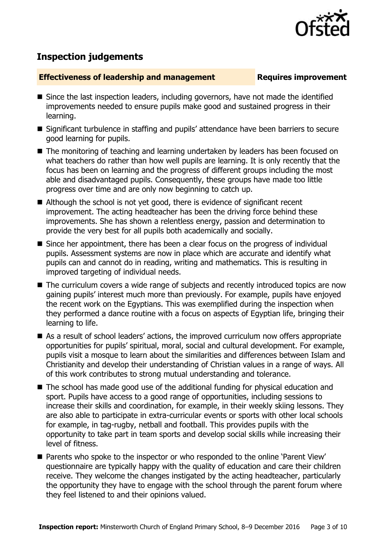

# **Inspection judgements**

#### **Effectiveness of leadership and management Requires improvement**

- Since the last inspection leaders, including governors, have not made the identified improvements needed to ensure pupils make good and sustained progress in their learning.
- Significant turbulence in staffing and pupils' attendance have been barriers to secure good learning for pupils.
- The monitoring of teaching and learning undertaken by leaders has been focused on what teachers do rather than how well pupils are learning. It is only recently that the focus has been on learning and the progress of different groups including the most able and disadvantaged pupils. Consequently, these groups have made too little progress over time and are only now beginning to catch up.
- Although the school is not yet good, there is evidence of significant recent improvement. The acting headteacher has been the driving force behind these improvements. She has shown a relentless energy, passion and determination to provide the very best for all pupils both academically and socially.
- Since her appointment, there has been a clear focus on the progress of individual pupils. Assessment systems are now in place which are accurate and identify what pupils can and cannot do in reading, writing and mathematics. This is resulting in improved targeting of individual needs.
- The curriculum covers a wide range of subjects and recently introduced topics are now gaining pupils' interest much more than previously. For example, pupils have enjoyed the recent work on the Egyptians. This was exemplified during the inspection when they performed a dance routine with a focus on aspects of Egyptian life, bringing their learning to life.
- As a result of school leaders' actions, the improved curriculum now offers appropriate opportunities for pupils' spiritual, moral, social and cultural development. For example, pupils visit a mosque to learn about the similarities and differences between Islam and Christianity and develop their understanding of Christian values in a range of ways. All of this work contributes to strong mutual understanding and tolerance.
- The school has made good use of the additional funding for physical education and sport. Pupils have access to a good range of opportunities, including sessions to increase their skills and coordination, for example, in their weekly skiing lessons. They are also able to participate in extra-curricular events or sports with other local schools for example, in tag-rugby, netball and football. This provides pupils with the opportunity to take part in team sports and develop social skills while increasing their level of fitness.
- Parents who spoke to the inspector or who responded to the online 'Parent View' questionnaire are typically happy with the quality of education and care their children receive. They welcome the changes instigated by the acting headteacher, particularly the opportunity they have to engage with the school through the parent forum where they feel listened to and their opinions valued.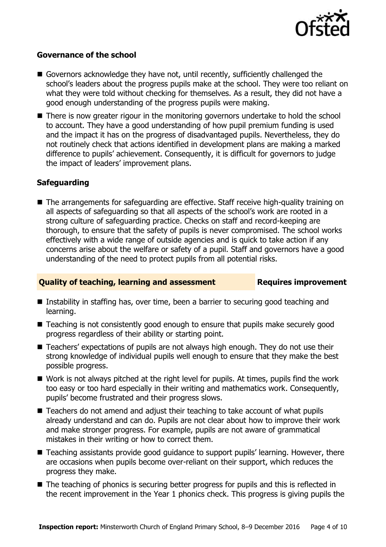

#### **Governance of the school**

- Governors acknowledge they have not, until recently, sufficiently challenged the school's leaders about the progress pupils make at the school. They were too reliant on what they were told without checking for themselves. As a result, they did not have a good enough understanding of the progress pupils were making.
- There is now greater rigour in the monitoring governors undertake to hold the school to account. They have a good understanding of how pupil premium funding is used and the impact it has on the progress of disadvantaged pupils. Nevertheless, they do not routinely check that actions identified in development plans are making a marked difference to pupils' achievement. Consequently, it is difficult for governors to judge the impact of leaders' improvement plans.

#### **Safeguarding**

■ The arrangements for safeguarding are effective. Staff receive high-quality training on all aspects of safeguarding so that all aspects of the school's work are rooted in a strong culture of safeguarding practice. Checks on staff and record-keeping are thorough, to ensure that the safety of pupils is never compromised. The school works effectively with a wide range of outside agencies and is quick to take action if any concerns arise about the welfare or safety of a pupil. Staff and governors have a good understanding of the need to protect pupils from all potential risks.

#### **Quality of teaching, learning and assessment Requires improvement**

- Instability in staffing has, over time, been a barrier to securing good teaching and learning.
- Teaching is not consistently good enough to ensure that pupils make securely good progress regardless of their ability or starting point.
- Teachers' expectations of pupils are not always high enough. They do not use their strong knowledge of individual pupils well enough to ensure that they make the best possible progress.
- Work is not always pitched at the right level for pupils. At times, pupils find the work too easy or too hard especially in their writing and mathematics work. Consequently, pupils' become frustrated and their progress slows.
- Teachers do not amend and adjust their teaching to take account of what pupils already understand and can do. Pupils are not clear about how to improve their work and make stronger progress. For example, pupils are not aware of grammatical mistakes in their writing or how to correct them.
- Teaching assistants provide good guidance to support pupils' learning. However, there are occasions when pupils become over-reliant on their support, which reduces the progress they make.
- The teaching of phonics is securing better progress for pupils and this is reflected in the recent improvement in the Year 1 phonics check. This progress is giving pupils the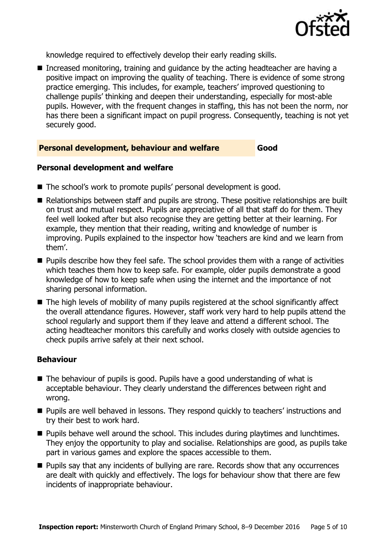

knowledge required to effectively develop their early reading skills.

■ Increased monitoring, training and guidance by the acting headteacher are having a positive impact on improving the quality of teaching. There is evidence of some strong practice emerging. This includes, for example, teachers' improved questioning to challenge pupils' thinking and deepen their understanding, especially for most-able pupils. However, with the frequent changes in staffing, this has not been the norm, nor has there been a significant impact on pupil progress. Consequently, teaching is not yet securely good.

#### **Personal development, behaviour and welfare Good**

#### **Personal development and welfare**

- The school's work to promote pupils' personal development is good.
- Relationships between staff and pupils are strong. These positive relationships are built on trust and mutual respect. Pupils are appreciative of all that staff do for them. They feel well looked after but also recognise they are getting better at their learning. For example, they mention that their reading, writing and knowledge of number is improving. Pupils explained to the inspector how 'teachers are kind and we learn from them'.
- **Pupils describe how they feel safe. The school provides them with a range of activities** which teaches them how to keep safe. For example, older pupils demonstrate a good knowledge of how to keep safe when using the internet and the importance of not sharing personal information.
- The high levels of mobility of many pupils registered at the school significantly affect the overall attendance figures. However, staff work very hard to help pupils attend the school regularly and support them if they leave and attend a different school. The acting headteacher monitors this carefully and works closely with outside agencies to check pupils arrive safely at their next school.

#### **Behaviour**

- The behaviour of pupils is good. Pupils have a good understanding of what is acceptable behaviour. They clearly understand the differences between right and wrong.
- **Pupils are well behaved in lessons. They respond quickly to teachers' instructions and** try their best to work hard.
- **Pupils behave well around the school. This includes during playtimes and lunchtimes.** They enjoy the opportunity to play and socialise. Relationships are good, as pupils take part in various games and explore the spaces accessible to them.
- **Pupils say that any incidents of bullying are rare. Records show that any occurrences** are dealt with quickly and effectively. The logs for behaviour show that there are few incidents of inappropriate behaviour.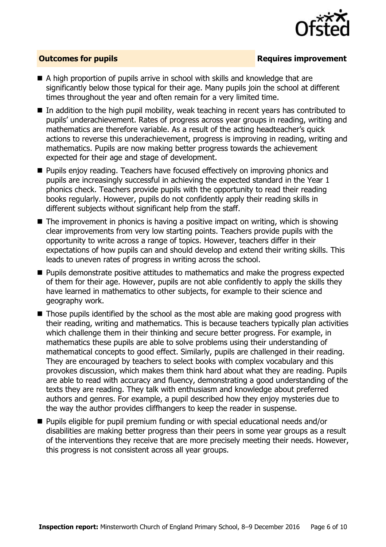

### **Outcomes for pupils Requires improvement**

- A high proportion of pupils arrive in school with skills and knowledge that are significantly below those typical for their age. Many pupils join the school at different times throughout the year and often remain for a very limited time.
- In addition to the high pupil mobility, weak teaching in recent years has contributed to pupils' underachievement. Rates of progress across year groups in reading, writing and mathematics are therefore variable. As a result of the acting headteacher's quick actions to reverse this underachievement, progress is improving in reading, writing and mathematics. Pupils are now making better progress towards the achievement expected for their age and stage of development.
- **Pupils enjoy reading. Teachers have focused effectively on improving phonics and** pupils are increasingly successful in achieving the expected standard in the Year 1 phonics check. Teachers provide pupils with the opportunity to read their reading books regularly. However, pupils do not confidently apply their reading skills in different subjects without significant help from the staff.
- $\blacksquare$  The improvement in phonics is having a positive impact on writing, which is showing clear improvements from very low starting points. Teachers provide pupils with the opportunity to write across a range of topics. However, teachers differ in their expectations of how pupils can and should develop and extend their writing skills. This leads to uneven rates of progress in writing across the school.
- **Pupils demonstrate positive attitudes to mathematics and make the progress expected** of them for their age. However, pupils are not able confidently to apply the skills they have learned in mathematics to other subjects, for example to their science and geography work.
- Those pupils identified by the school as the most able are making good progress with their reading, writing and mathematics. This is because teachers typically plan activities which challenge them in their thinking and secure better progress. For example, in mathematics these pupils are able to solve problems using their understanding of mathematical concepts to good effect. Similarly, pupils are challenged in their reading. They are encouraged by teachers to select books with complex vocabulary and this provokes discussion, which makes them think hard about what they are reading. Pupils are able to read with accuracy and fluency, demonstrating a good understanding of the texts they are reading. They talk with enthusiasm and knowledge about preferred authors and genres. For example, a pupil described how they enjoy mysteries due to the way the author provides cliffhangers to keep the reader in suspense.
- Pupils eligible for pupil premium funding or with special educational needs and/or disabilities are making better progress than their peers in some year groups as a result of the interventions they receive that are more precisely meeting their needs. However, this progress is not consistent across all year groups.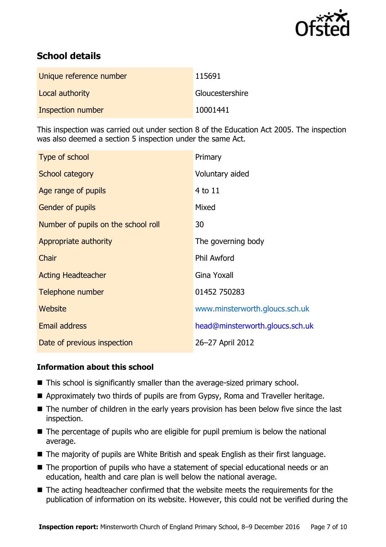

# **School details**

| Unique reference number | 115691          |
|-------------------------|-----------------|
| Local authority         | Gloucestershire |
| Inspection number       | 10001441        |

This inspection was carried out under section 8 of the Education Act 2005. The inspection was also deemed a section 5 inspection under the same Act.

| Type of school                      | Primary                         |
|-------------------------------------|---------------------------------|
| School category                     | Voluntary aided                 |
| Age range of pupils                 | 4 to 11                         |
| <b>Gender of pupils</b>             | Mixed                           |
| Number of pupils on the school roll | 30                              |
| Appropriate authority               | The governing body              |
| Chair                               | <b>Phil Awford</b>              |
| <b>Acting Headteacher</b>           | Gina Yoxall                     |
| Telephone number                    | 01452 750283                    |
| Website                             | www.minsterworth.gloucs.sch.uk  |
| Email address                       | head@minsterworth.gloucs.sch.uk |
| Date of previous inspection         | 26-27 April 2012                |

#### **Information about this school**

- This school is significantly smaller than the average-sized primary school.
- Approximately two thirds of pupils are from Gypsy, Roma and Traveller heritage.
- The number of children in the early years provision has been below five since the last inspection.
- The percentage of pupils who are eligible for pupil premium is below the national average.
- The majority of pupils are White British and speak English as their first language.
- The proportion of pupils who have a statement of special educational needs or an education, health and care plan is well below the national average.
- The acting headteacher confirmed that the website meets the requirements for the publication of information on its website. However, this could not be verified during the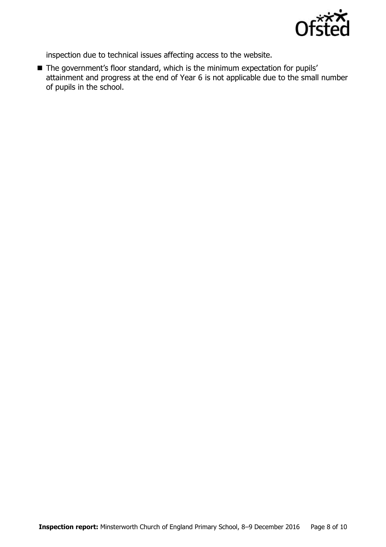

inspection due to technical issues affecting access to the website.

■ The government's floor standard, which is the minimum expectation for pupils' attainment and progress at the end of Year 6 is not applicable due to the small number of pupils in the school.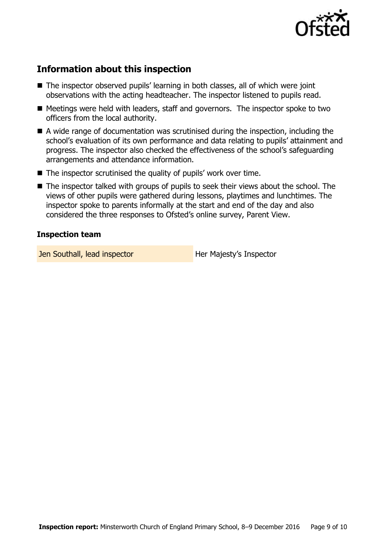

# **Information about this inspection**

- The inspector observed pupils' learning in both classes, all of which were joint observations with the acting headteacher. The inspector listened to pupils read.
- Meetings were held with leaders, staff and governors. The inspector spoke to two officers from the local authority.
- A wide range of documentation was scrutinised during the inspection, including the school's evaluation of its own performance and data relating to pupils' attainment and progress. The inspector also checked the effectiveness of the school's safeguarding arrangements and attendance information.
- $\blacksquare$  The inspector scrutinised the quality of pupils' work over time.
- The inspector talked with groups of pupils to seek their views about the school. The views of other pupils were gathered during lessons, playtimes and lunchtimes. The inspector spoke to parents informally at the start and end of the day and also considered the three responses to Ofsted's online survey, Parent View.

#### **Inspection team**

Jen Southall, lead inspector **Her Majesty's Inspector**